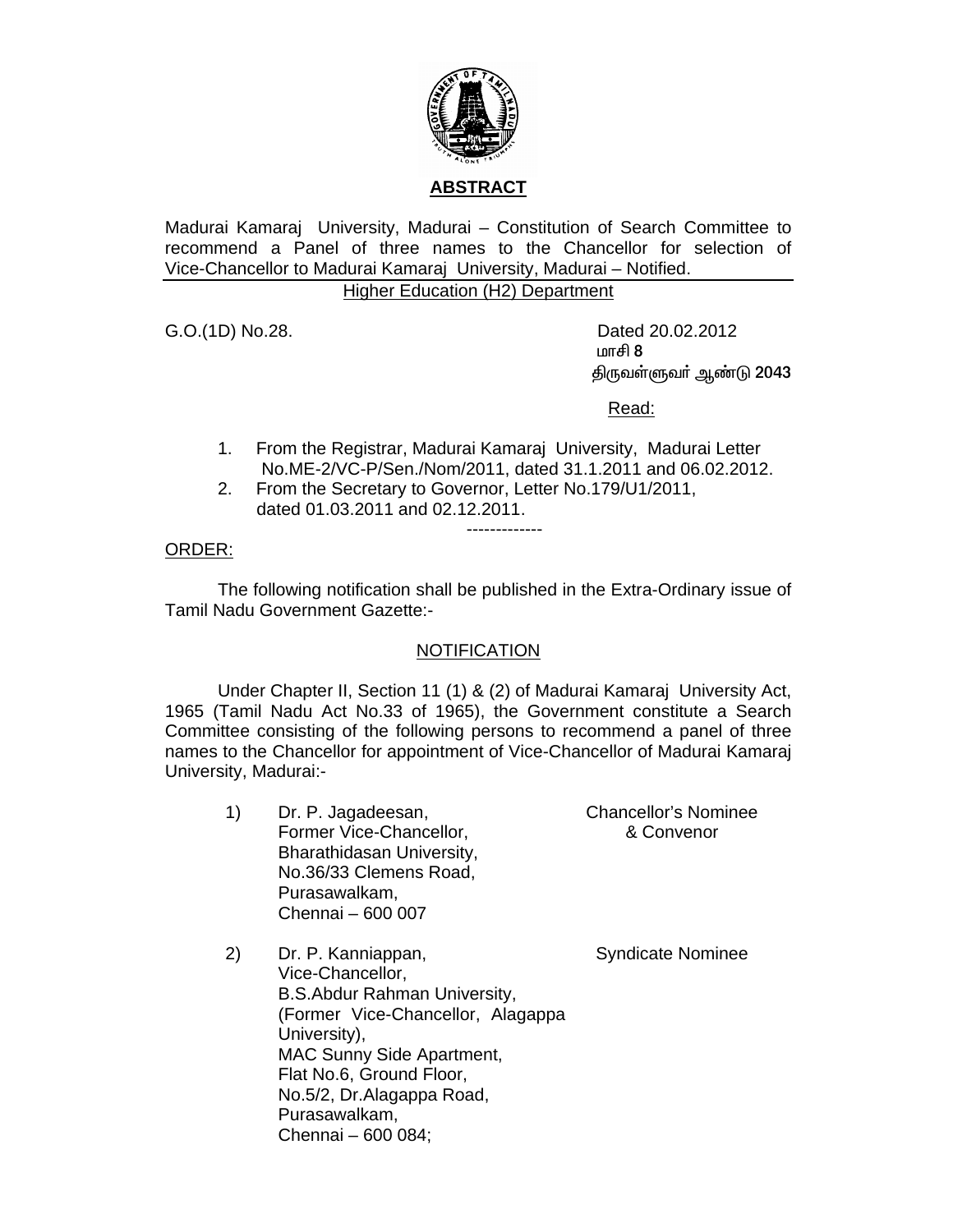

# **ABSTRACT**

Madurai Kamaraj University, Madurai – Constitution of Search Committee to recommend a Panel of three names to the Chancellor for selection of Vice-Chancellor to Madurai Kamaraj University, Madurai – Notified.

## Higher Education (H2) Department

G.O.(1D) No.28. Dated 20.02.2012  $\mathfrak{m}$  and  $\mathfrak{m}$  and  $\mathfrak{m}$  and  $\mathfrak{m}$  and  $\mathfrak{m}$  and  $\mathfrak{m}$ திருவள்ளுவா் ஆண்டு 2043

<u>Read: Album and Album and Album and Album and Album and Album and Album and Album and Album and Album and Album and Album and Album and Album and Album and Album and Album and Album and Album and Album and Album and Album</u>

1. From the Registrar, Madurai Kamaraj University, Madurai Letter No.ME-2/VC-P/Sen./Nom/2011, dated 31.1.2011 and 06.02.2012.

-------------

2. From the Secretary to Governor, Letter No.179/U1/2011, dated 01.03.2011 and 02.12.2011.

# ORDER:

 The following notification shall be published in the Extra-Ordinary issue of Tamil Nadu Government Gazette:-

## **NOTIFICATION**

 Under Chapter II, Section 11 (1) & (2) of Madurai Kamaraj University Act, 1965 (Tamil Nadu Act No.33 of 1965), the Government constitute a Search Committee consisting of the following persons to recommend a panel of three names to the Chancellor for appointment of Vice-Chancellor of Madurai Kamaraj University, Madurai:-

| 1) | Dr. P. Jagadeesan,        | <b>Chancellor's Nominee</b> |
|----|---------------------------|-----------------------------|
|    | Former Vice-Chancellor,   | & Convenor                  |
|    | Bharathidasan University, |                             |
|    | No.36/33 Clemens Road,    |                             |
|    | Purasawalkam,             |                             |
|    | Chennai - 600 007         |                             |
|    |                           |                             |

2) Dr. P. Kanniappan, Vice-Chancellor, B.S.Abdur Rahman University, (Former Vice-Chancellor, Alagappa University), MAC Sunny Side Apartment, Flat No.6, Ground Floor, No.5/2, Dr.Alagappa Road, Purasawalkam, Chennai – 600 084; Syndicate Nominee